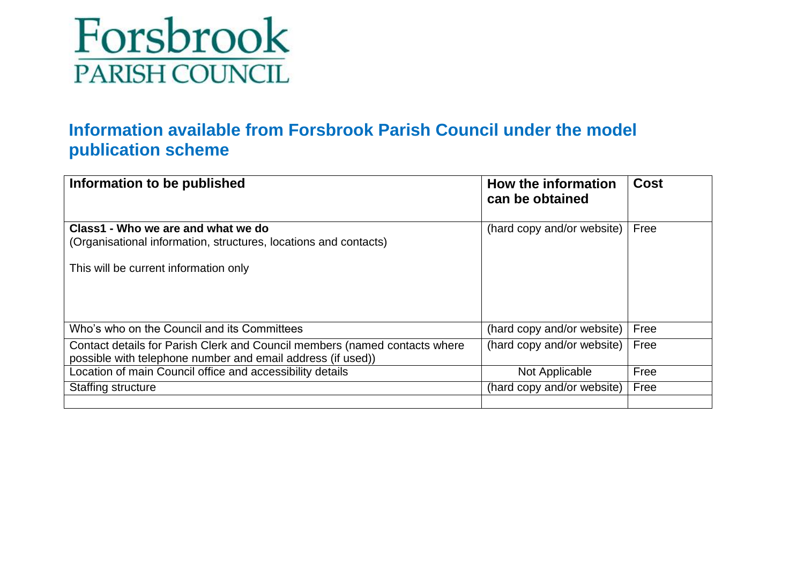

#### **Information available from Forsbrook Parish Council under the model publication scheme**

| Information to be published                                                                                                                     | How the information<br>can be obtained | <b>Cost</b> |
|-------------------------------------------------------------------------------------------------------------------------------------------------|----------------------------------------|-------------|
| Class1 - Who we are and what we do<br>(Organisational information, structures, locations and contacts)<br>This will be current information only | (hard copy and/or website)             | Free        |
| Who's who on the Council and its Committees                                                                                                     | (hard copy and/or website)             | Free        |
| Contact details for Parish Clerk and Council members (named contacts where<br>possible with telephone number and email address (if used))       | (hard copy and/or website)             | Free        |
| Location of main Council office and accessibility details                                                                                       | Not Applicable                         | Free        |
| <b>Staffing structure</b>                                                                                                                       | (hard copy and/or website)             | Free        |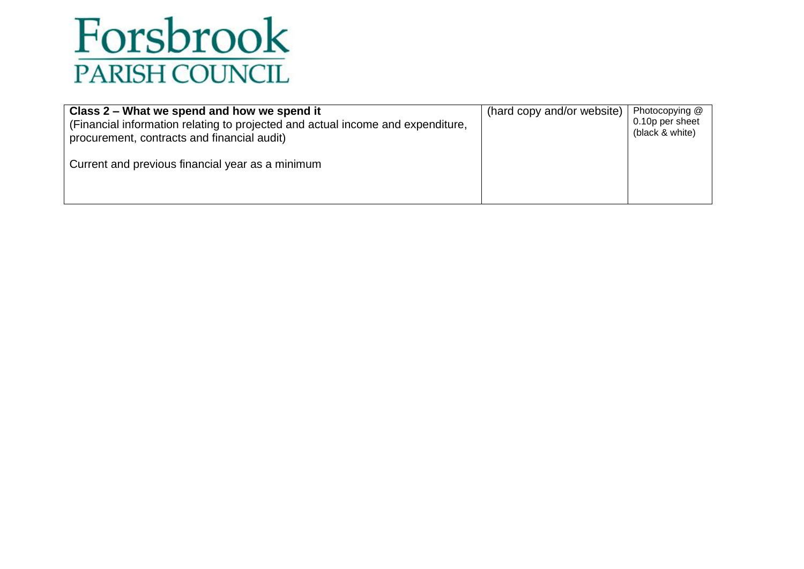

| Class 2 – What we spend and how we spend it                                                                                    | (hard copy and/or website) | Photocopying @                     |
|--------------------------------------------------------------------------------------------------------------------------------|----------------------------|------------------------------------|
| (Financial information relating to projected and actual income and expenditure,<br>procurement, contracts and financial audit) |                            | 0.10p per sheet<br>(black & white) |
| Current and previous financial year as a minimum                                                                               |                            |                                    |
|                                                                                                                                |                            |                                    |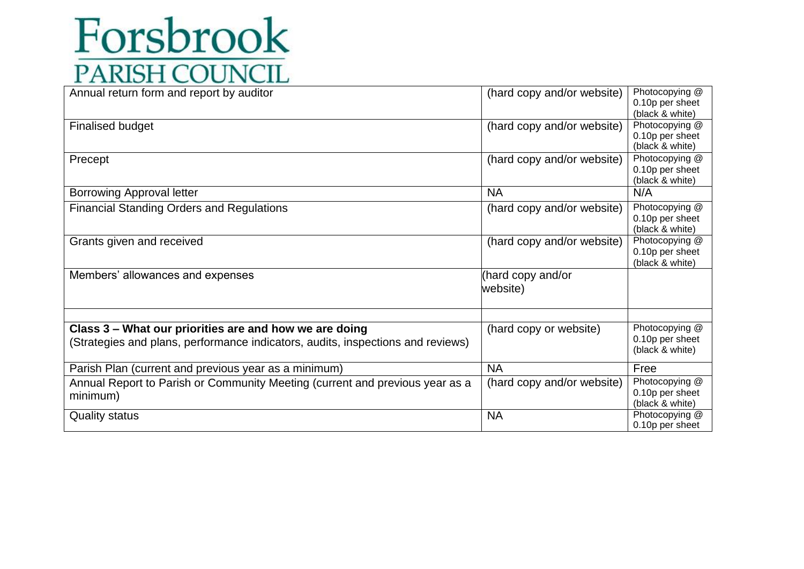| Annual return form and report by auditor                                                 | (hard copy and/or website)    | Photocopying @<br>0.10p per sheet<br>(black & white) |
|------------------------------------------------------------------------------------------|-------------------------------|------------------------------------------------------|
| <b>Finalised budget</b>                                                                  | (hard copy and/or website)    | Photocopying @<br>0.10p per sheet<br>(black & white) |
| Precept                                                                                  | (hard copy and/or website)    | Photocopying @<br>0.10p per sheet<br>(black & white) |
| <b>Borrowing Approval letter</b>                                                         | <b>NA</b>                     | N/A                                                  |
| <b>Financial Standing Orders and Regulations</b>                                         | (hard copy and/or website)    | Photocopying @<br>0.10p per sheet<br>(black & white) |
| Grants given and received                                                                | (hard copy and/or website)    | Photocopying @<br>0.10p per sheet<br>(black & white) |
| Members' allowances and expenses                                                         | (hard copy and/or<br>website) |                                                      |
| Class 3 - What our priorities are and how we are doing                                   | (hard copy or website)        | Photocopying @                                       |
| (Strategies and plans, performance indicators, audits, inspections and reviews)          |                               | 0.10p per sheet<br>(black & white)                   |
| Parish Plan (current and previous year as a minimum)                                     | <b>NA</b>                     | Free                                                 |
| Annual Report to Parish or Community Meeting (current and previous year as a<br>minimum) | (hard copy and/or website)    | Photocopying @<br>0.10p per sheet<br>(black & white) |
| <b>Quality status</b>                                                                    | <b>NA</b>                     | Photocopying @<br>0.10p per sheet                    |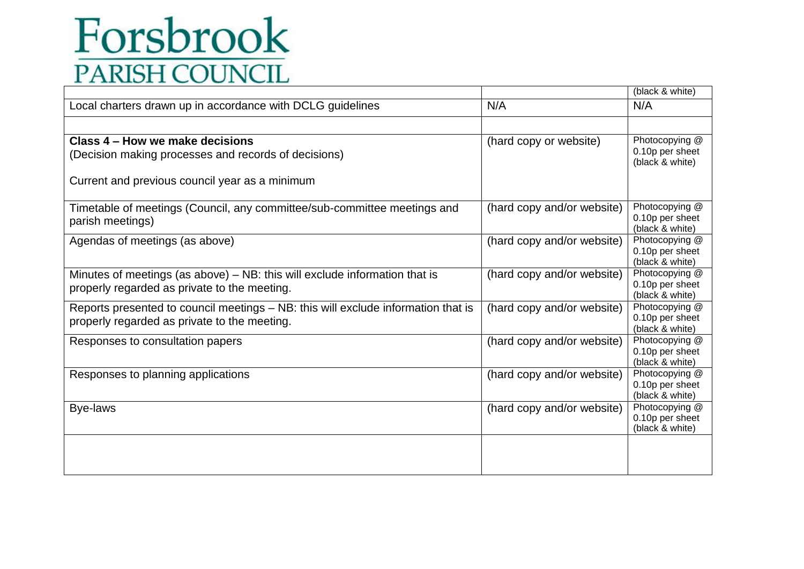|                                                                                   |                            | (black & white)                    |
|-----------------------------------------------------------------------------------|----------------------------|------------------------------------|
| Local charters drawn up in accordance with DCLG guidelines                        | N/A                        | N/A                                |
|                                                                                   |                            |                                    |
|                                                                                   |                            |                                    |
| Class 4 – How we make decisions                                                   | (hard copy or website)     | Photocopying @                     |
| (Decision making processes and records of decisions)                              |                            | 0.10p per sheet                    |
|                                                                                   |                            | (black & white)                    |
| Current and previous council year as a minimum                                    |                            |                                    |
|                                                                                   |                            |                                    |
| Timetable of meetings (Council, any committee/sub-committee meetings and          | (hard copy and/or website) | Photocopying @                     |
|                                                                                   |                            | 0.10p per sheet                    |
| parish meetings)                                                                  |                            | (black & white)                    |
| Agendas of meetings (as above)                                                    | (hard copy and/or website) | Photocopying @                     |
|                                                                                   |                            | 0.10p per sheet                    |
|                                                                                   |                            | (black & white)                    |
| Minutes of meetings (as above) $-$ NB: this will exclude information that is      | (hard copy and/or website) | Photocopying @                     |
| properly regarded as private to the meeting.                                      |                            | 0.10p per sheet                    |
|                                                                                   |                            | (black & white)                    |
| Reports presented to council meetings - NB: this will exclude information that is | (hard copy and/or website) | Photocopying @                     |
| properly regarded as private to the meeting.                                      |                            | 0.10p per sheet<br>(black & white) |
| Responses to consultation papers                                                  | (hard copy and/or website) | Photocopying @                     |
|                                                                                   |                            | 0.10p per sheet                    |
|                                                                                   |                            | (black & white)                    |
| Responses to planning applications                                                | (hard copy and/or website) | Photocopying @                     |
|                                                                                   |                            | 0.10p per sheet                    |
|                                                                                   |                            | (black & white)                    |
| Bye-laws                                                                          | (hard copy and/or website) | Photocopying @                     |
|                                                                                   |                            | 0.10p per sheet                    |
|                                                                                   |                            | (black & white)                    |
|                                                                                   |                            |                                    |
|                                                                                   |                            |                                    |
|                                                                                   |                            |                                    |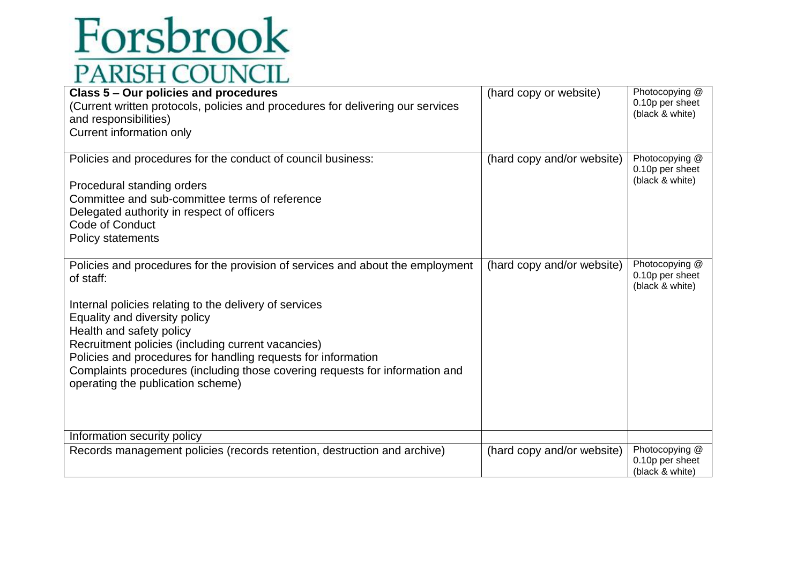| Class 5 - Our policies and procedures<br>(Current written protocols, policies and procedures for delivering our services<br>and responsibilities)<br>Current information only                                                                                                                                                                                                                                                                                  | (hard copy or website)     | Photocopying @<br>0.10p per sheet<br>(black & white) |
|----------------------------------------------------------------------------------------------------------------------------------------------------------------------------------------------------------------------------------------------------------------------------------------------------------------------------------------------------------------------------------------------------------------------------------------------------------------|----------------------------|------------------------------------------------------|
| Policies and procedures for the conduct of council business:<br>Procedural standing orders<br>Committee and sub-committee terms of reference<br>Delegated authority in respect of officers<br>Code of Conduct<br><b>Policy statements</b>                                                                                                                                                                                                                      | (hard copy and/or website) | Photocopying @<br>0.10p per sheet<br>(black & white) |
| Policies and procedures for the provision of services and about the employment<br>of staff:<br>Internal policies relating to the delivery of services<br>Equality and diversity policy<br>Health and safety policy<br>Recruitment policies (including current vacancies)<br>Policies and procedures for handling requests for information<br>Complaints procedures (including those covering requests for information and<br>operating the publication scheme) | (hard copy and/or website) | Photocopying @<br>0.10p per sheet<br>(black & white) |
| Information security policy                                                                                                                                                                                                                                                                                                                                                                                                                                    |                            |                                                      |
| Records management policies (records retention, destruction and archive)                                                                                                                                                                                                                                                                                                                                                                                       | (hard copy and/or website) | Photocopying @<br>0.10p per sheet<br>(black & white) |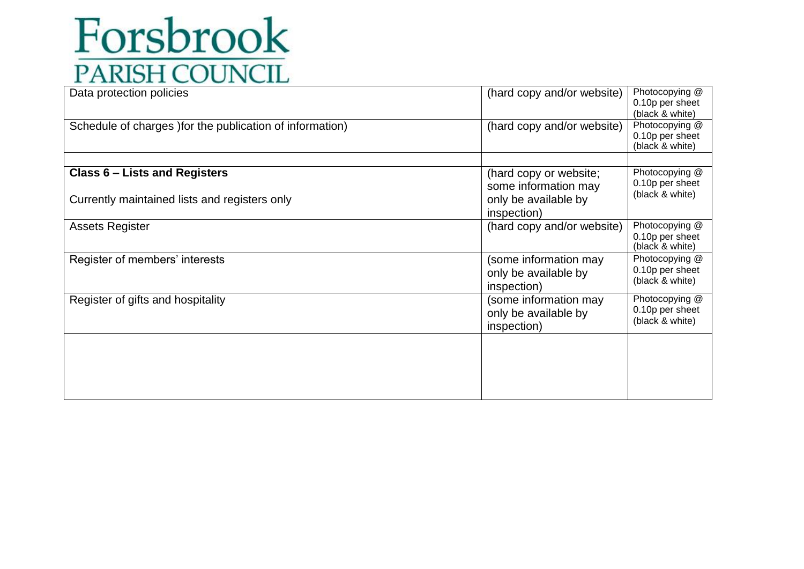| Data protection policies                                                       | (hard copy and/or website)                                                            | Photocopying @<br>0.10p per sheet<br>(black & white) |
|--------------------------------------------------------------------------------|---------------------------------------------------------------------------------------|------------------------------------------------------|
| Schedule of charges ) for the publication of information)                      | (hard copy and/or website)                                                            | Photocopying @<br>0.10p per sheet<br>(black & white) |
|                                                                                |                                                                                       |                                                      |
| Class 6 – Lists and Registers<br>Currently maintained lists and registers only | (hard copy or website;<br>some information may<br>only be available by<br>inspection) | Photocopying @<br>0.10p per sheet<br>(black & white) |
| <b>Assets Register</b>                                                         | (hard copy and/or website)                                                            | Photocopying @<br>0.10p per sheet<br>(black & white) |
| Register of members' interests                                                 | (some information may<br>only be available by<br>inspection)                          | Photocopying @<br>0.10p per sheet<br>(black & white) |
| Register of gifts and hospitality                                              | (some information may<br>only be available by<br>inspection)                          | Photocopying @<br>0.10p per sheet<br>(black & white) |
|                                                                                |                                                                                       |                                                      |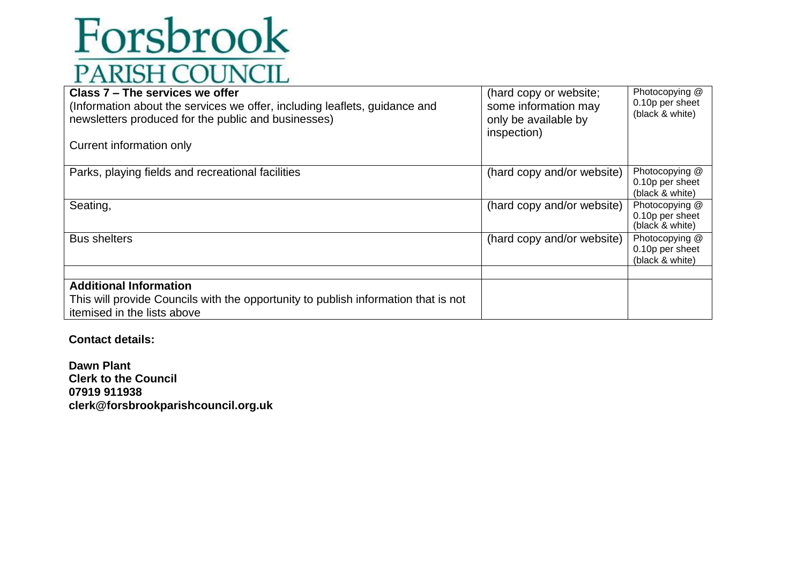| Class 7 – The services we offer<br>(Information about the services we offer, including leaflets, guidance and<br>newsletters produced for the public and businesses)<br>Current information only | (hard copy or website;<br>some information may<br>only be available by<br>inspection) | Photocopying @<br>0.10p per sheet<br>(black & white) |
|--------------------------------------------------------------------------------------------------------------------------------------------------------------------------------------------------|---------------------------------------------------------------------------------------|------------------------------------------------------|
| Parks, playing fields and recreational facilities                                                                                                                                                | (hard copy and/or website)                                                            | Photocopying @<br>0.10p per sheet<br>(black & white) |
| Seating,                                                                                                                                                                                         | (hard copy and/or website)                                                            | Photocopying @<br>0.10p per sheet<br>(black & white) |
| <b>Bus shelters</b>                                                                                                                                                                              | (hard copy and/or website)                                                            | Photocopying @<br>0.10p per sheet<br>(black & white) |
| <b>Additional Information</b><br>This will provide Councils with the opportunity to publish information that is not<br>itemised in the lists above                                               |                                                                                       |                                                      |

**Contact details:**

**Dawn Plant Clerk to the Council 07919 911938 clerk@forsbrookparishcouncil.org.uk**